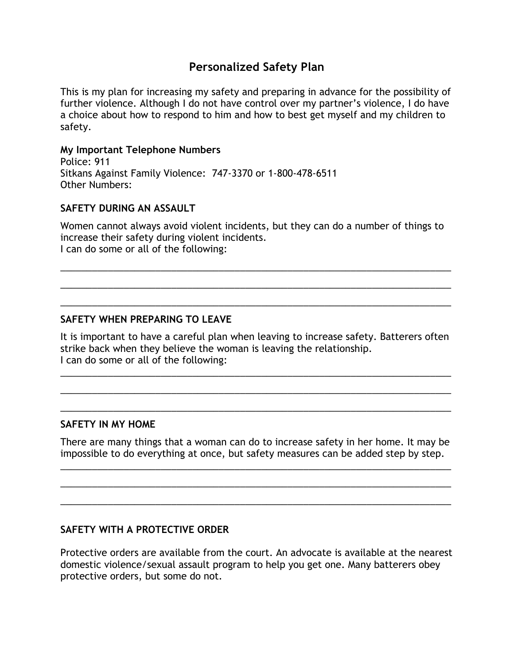# **Personalized Safety Plan**

This is my plan for increasing my safety and preparing in advance for the possibility of further violence. Although I do not have control over my partner's violence, I do have a choice about how to respond to him and how to best get myself and my children to safety.

#### **My Important Telephone Numbers**

Police: 911 Sitkans Against Family Violence: 747-3370 or 1-800-478-6511 Other Numbers:

## **SAFETY DURING AN ASSAULT**

Women cannot always avoid violent incidents, but they can do a number of things to increase their safety during violent incidents. I can do some or all of the following:

\_\_\_\_\_\_\_\_\_\_\_\_\_\_\_\_\_\_\_\_\_\_\_\_\_\_\_\_\_\_\_\_\_\_\_\_\_\_\_\_\_\_\_\_\_\_\_\_\_\_\_\_\_\_\_\_\_\_\_\_\_\_\_\_\_\_\_\_\_\_\_\_\_\_

\_\_\_\_\_\_\_\_\_\_\_\_\_\_\_\_\_\_\_\_\_\_\_\_\_\_\_\_\_\_\_\_\_\_\_\_\_\_\_\_\_\_\_\_\_\_\_\_\_\_\_\_\_\_\_\_\_\_\_\_\_\_\_\_\_\_\_\_\_\_\_\_\_\_

\_\_\_\_\_\_\_\_\_\_\_\_\_\_\_\_\_\_\_\_\_\_\_\_\_\_\_\_\_\_\_\_\_\_\_\_\_\_\_\_\_\_\_\_\_\_\_\_\_\_\_\_\_\_\_\_\_\_\_\_\_\_\_\_\_\_\_\_\_\_\_\_\_\_

#### **SAFETY WHEN PREPARING TO LEAVE**

It is important to have a careful plan when leaving to increase safety. Batterers often strike back when they believe the woman is leaving the relationship. I can do some or all of the following: \_\_\_\_\_\_\_\_\_\_\_\_\_\_\_\_\_\_\_\_\_\_\_\_\_\_\_\_\_\_\_\_\_\_\_\_\_\_\_\_\_\_\_\_\_\_\_\_\_\_\_\_\_\_\_\_\_\_\_\_\_\_\_\_\_\_\_\_\_\_\_\_\_\_

\_\_\_\_\_\_\_\_\_\_\_\_\_\_\_\_\_\_\_\_\_\_\_\_\_\_\_\_\_\_\_\_\_\_\_\_\_\_\_\_\_\_\_\_\_\_\_\_\_\_\_\_\_\_\_\_\_\_\_\_\_\_\_\_\_\_\_\_\_\_\_\_\_\_

\_\_\_\_\_\_\_\_\_\_\_\_\_\_\_\_\_\_\_\_\_\_\_\_\_\_\_\_\_\_\_\_\_\_\_\_\_\_\_\_\_\_\_\_\_\_\_\_\_\_\_\_\_\_\_\_\_\_\_\_\_\_\_\_\_\_\_\_\_\_\_\_\_\_

#### **SAFETY IN MY HOME**

There are many things that a woman can do to increase safety in her home. It may be impossible to do everything at once, but safety measures can be added step by step.

\_\_\_\_\_\_\_\_\_\_\_\_\_\_\_\_\_\_\_\_\_\_\_\_\_\_\_\_\_\_\_\_\_\_\_\_\_\_\_\_\_\_\_\_\_\_\_\_\_\_\_\_\_\_\_\_\_\_\_\_\_\_\_\_\_\_\_\_\_\_\_\_\_\_

\_\_\_\_\_\_\_\_\_\_\_\_\_\_\_\_\_\_\_\_\_\_\_\_\_\_\_\_\_\_\_\_\_\_\_\_\_\_\_\_\_\_\_\_\_\_\_\_\_\_\_\_\_\_\_\_\_\_\_\_\_\_\_\_\_\_\_\_\_\_\_\_\_\_

\_\_\_\_\_\_\_\_\_\_\_\_\_\_\_\_\_\_\_\_\_\_\_\_\_\_\_\_\_\_\_\_\_\_\_\_\_\_\_\_\_\_\_\_\_\_\_\_\_\_\_\_\_\_\_\_\_\_\_\_\_\_\_\_\_\_\_\_\_\_\_\_\_\_

### **SAFETY WITH A PROTECTIVE ORDER**

Protective orders are available from the court. An advocate is available at the nearest domestic violence/sexual assault program to help you get one. Many batterers obey protective orders, but some do not.